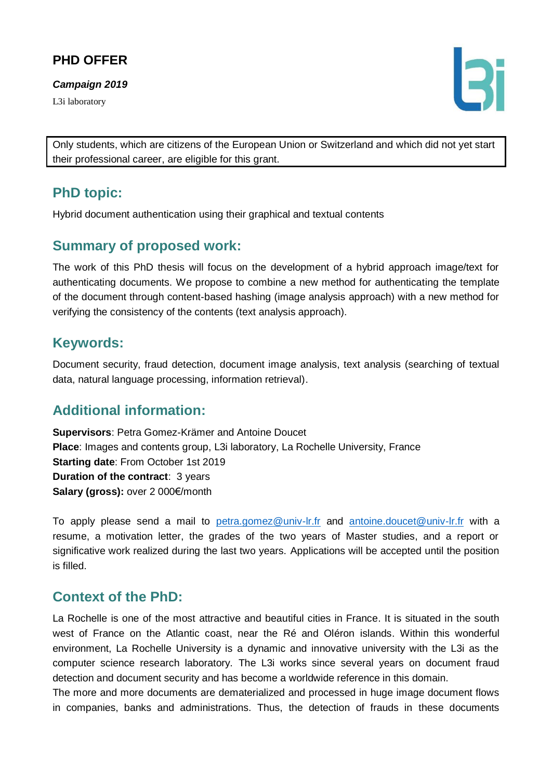# **PHD OFFER**

*Campaign 2019*

L3i laboratory



Only students, which are citizens of the European Union or Switzerland and which did not yet start their professional career, are eligible for this grant.

## **PhD topic:**

Hybrid document authentication using their graphical and textual contents

#### **Summary of proposed work:**

The work of this PhD thesis will focus on the development of a hybrid approach image/text for authenticating documents. We propose to combine a new method for authenticating the template of the document through content-based hashing (image analysis approach) with a new method for verifying the consistency of the contents (text analysis approach).

#### **Keywords:**

Document security, fraud detection, document image analysis, text analysis (searching of textual data, natural language processing, information retrieval).

## **Additional information:**

**Supervisors**: Petra Gomez-Krämer and Antoine Doucet **Place**: Images and contents group, L3i laboratory, La Rochelle University, France **Starting date**: From October 1st 2019 **Duration of the contract**: 3 years **Salary (gross):** over 2 000€/month

To apply please send a mail to [petra.gomez@univ-lr.fr](mailto:petra.gomez@univ-lr.fr) and [antoine.doucet@univ-lr.fr](mailto:antoine.doucet@univ-lr.fr) with a resume, a motivation letter, the grades of the two years of Master studies, and a report or significative work realized during the last two years. Applications will be accepted until the position is filled.

### **Context of the PhD:**

La Rochelle is one of the most attractive and beautiful cities in France. It is situated in the south west of France on the Atlantic coast, near the Ré and Oléron islands. Within this wonderful environment, La Rochelle University is a dynamic and innovative university with the L3i as the computer science research laboratory. The L3i works since several years on document fraud detection and document security and has become a worldwide reference in this domain.

The more and more documents are dematerialized and processed in huge image document flows in companies, banks and administrations. Thus, the detection of frauds in these documents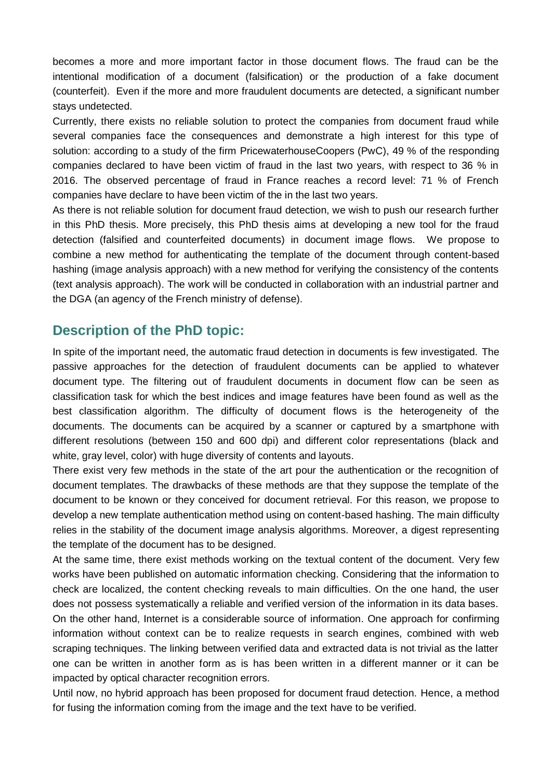becomes a more and more important factor in those document flows. The fraud can be the intentional modification of a document (falsification) or the production of a fake document (counterfeit). Even if the more and more fraudulent documents are detected, a significant number stays undetected.

Currently, there exists no reliable solution to protect the companies from document fraud while several companies face the consequences and demonstrate a high interest for this type of solution: according to a study of the firm PricewaterhouseCoopers (PwC), 49 % of the responding companies declared to have been victim of fraud in the last two years, with respect to 36 % in 2016. The observed percentage of fraud in France reaches a record level: 71 % of French companies have declare to have been victim of the in the last two years.

As there is not reliable solution for document fraud detection, we wish to push our research further in this PhD thesis. More precisely, this PhD thesis aims at developing a new tool for the fraud detection (falsified and counterfeited documents) in document image flows. We propose to combine a new method for authenticating the template of the document through content-based hashing (image analysis approach) with a new method for verifying the consistency of the contents (text analysis approach). The work will be conducted in collaboration with an industrial partner and the DGA (an agency of the French ministry of defense).

#### **Description of the PhD topic:**

In spite of the important need, the automatic fraud detection in documents is few investigated. The passive approaches for the detection of fraudulent documents can be applied to whatever document type. The filtering out of fraudulent documents in document flow can be seen as classification task for which the best indices and image features have been found as well as the best classification algorithm. The difficulty of document flows is the heterogeneity of the documents. The documents can be acquired by a scanner or captured by a smartphone with different resolutions (between 150 and 600 dpi) and different color representations (black and white, gray level, color) with huge diversity of contents and layouts.

There exist very few methods in the state of the art pour the authentication or the recognition of document templates. The drawbacks of these methods are that they suppose the template of the document to be known or they conceived for document retrieval. For this reason, we propose to develop a new template authentication method using on content-based hashing. The main difficulty relies in the stability of the document image analysis algorithms. Moreover, a digest representing the template of the document has to be designed.

At the same time, there exist methods working on the textual content of the document. Very few works have been published on automatic information checking. Considering that the information to check are localized, the content checking reveals to main difficulties. On the one hand, the user does not possess systematically a reliable and verified version of the information in its data bases.

On the other hand, Internet is a considerable source of information. One approach for confirming information without context can be to realize requests in search engines, combined with web scraping techniques. The linking between verified data and extracted data is not trivial as the latter one can be written in another form as is has been written in a different manner or it can be impacted by optical character recognition errors.

Until now, no hybrid approach has been proposed for document fraud detection. Hence, a method for fusing the information coming from the image and the text have to be verified.